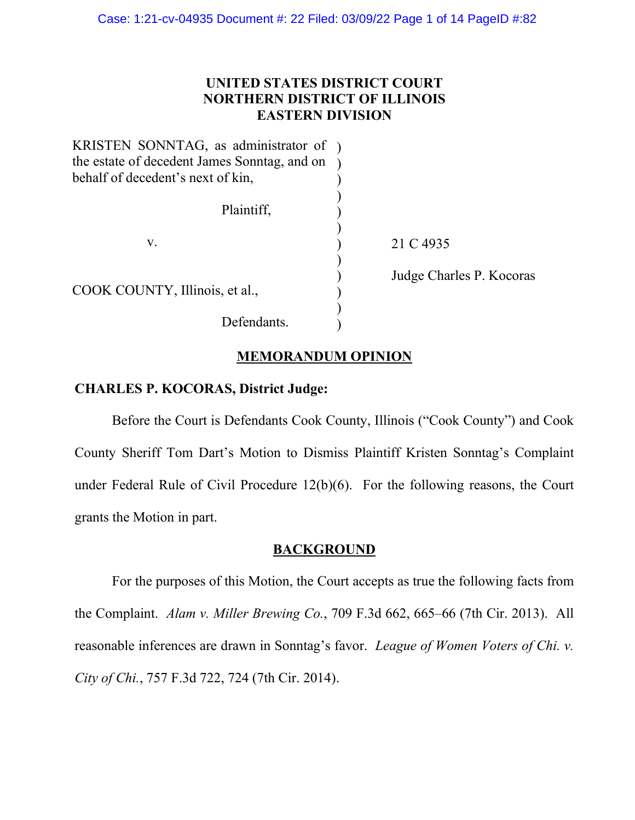# **UNITED STATES DISTRICT COURT NORTHERN DISTRICT OF ILLINOIS EASTERN DIVISION**

| KRISTEN SONNTAG, as administrator of )       |                          |
|----------------------------------------------|--------------------------|
| the estate of decedent James Sonntag, and on |                          |
| behalf of decedent's next of kin,            |                          |
| Plaintiff,                                   |                          |
| V.                                           | 21 C 4935                |
| COOK COUNTY, Illinois, et al.,               | Judge Charles P. Kocoras |
| Defendants.                                  |                          |

## **MEMORANDUM OPINION**

# **CHARLES P. KOCORAS, District Judge:**

Before the Court is Defendants Cook County, Illinois ("Cook County") and Cook County Sheriff Tom Dart's Motion to Dismiss Plaintiff Kristen Sonntag's Complaint under Federal Rule of Civil Procedure 12(b)(6). For the following reasons, the Court grants the Motion in part.

### **BACKGROUND**

For the purposes of this Motion, the Court accepts as true the following facts from the Complaint. *Alam v. Miller Brewing Co.*, 709 F.3d 662, 665–66 (7th Cir. 2013). All reasonable inferences are drawn in Sonntag's favor. *League of Women Voters of Chi. v. City of Chi.*, 757 F.3d 722, 724 (7th Cir. 2014).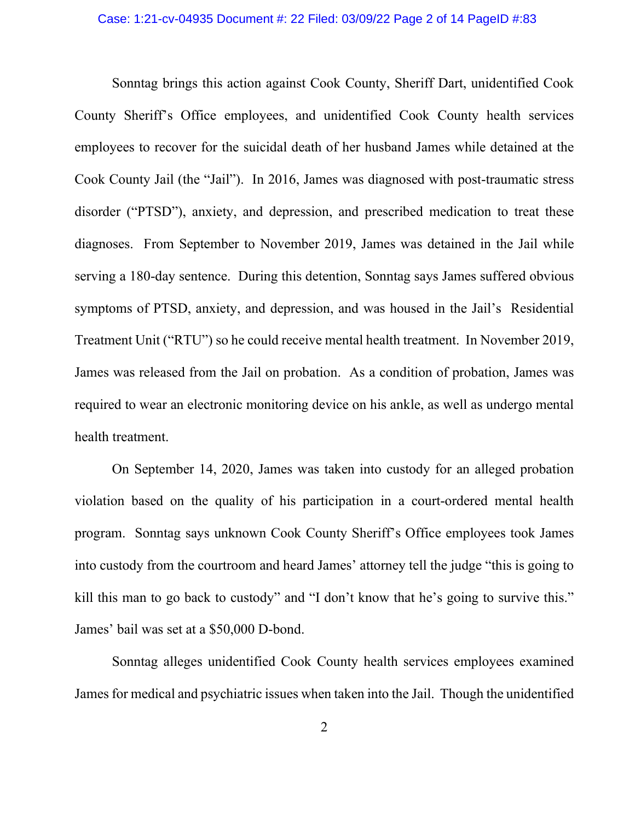Sonntag brings this action against Cook County, Sheriff Dart, unidentified Cook County Sheriff's Office employees, and unidentified Cook County health services employees to recover for the suicidal death of her husband James while detained at the Cook County Jail (the "Jail"). In 2016, James was diagnosed with post-traumatic stress disorder ("PTSD"), anxiety, and depression, and prescribed medication to treat these diagnoses. From September to November 2019, James was detained in the Jail while serving a 180-day sentence. During this detention, Sonntag says James suffered obvious symptoms of PTSD, anxiety, and depression, and was housed in the Jail's Residential Treatment Unit ("RTU") so he could receive mental health treatment. In November 2019, James was released from the Jail on probation. As a condition of probation, James was required to wear an electronic monitoring device on his ankle, as well as undergo mental health treatment.

On September 14, 2020, James was taken into custody for an alleged probation violation based on the quality of his participation in a court-ordered mental health program. Sonntag says unknown Cook County Sheriff's Office employees took James into custody from the courtroom and heard James' attorney tell the judge "this is going to kill this man to go back to custody" and "I don't know that he's going to survive this." James' bail was set at a \$50,000 D-bond.

Sonntag alleges unidentified Cook County health services employees examined James for medical and psychiatric issues when taken into the Jail. Though the unidentified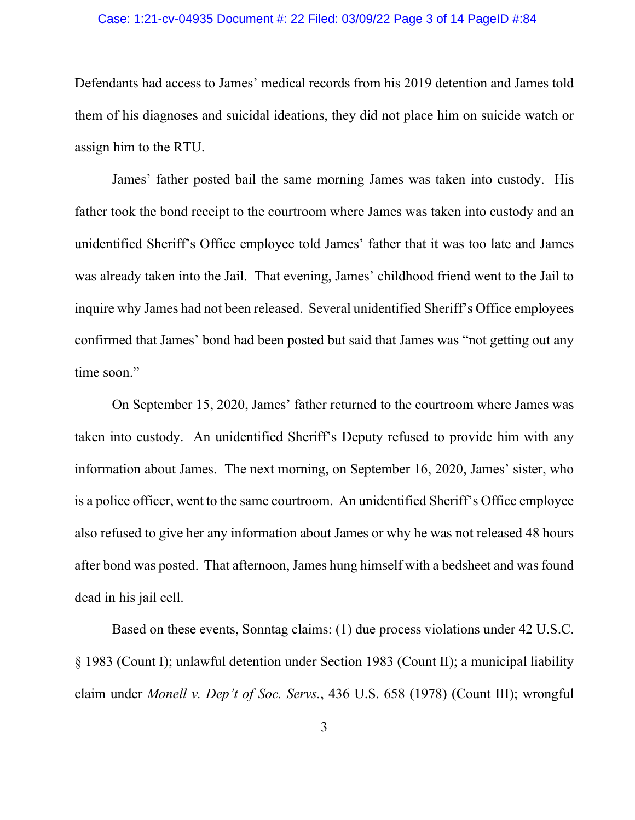#### Case: 1:21-cv-04935 Document #: 22 Filed: 03/09/22 Page 3 of 14 PageID #:84

Defendants had access to James' medical records from his 2019 detention and James told them of his diagnoses and suicidal ideations, they did not place him on suicide watch or assign him to the RTU.

James' father posted bail the same morning James was taken into custody. His father took the bond receipt to the courtroom where James was taken into custody and an unidentified Sheriff's Office employee told James' father that it was too late and James was already taken into the Jail. That evening, James' childhood friend went to the Jail to inquire why James had not been released. Several unidentified Sheriff's Office employees confirmed that James' bond had been posted but said that James was "not getting out any time soon."

On September 15, 2020, James' father returned to the courtroom where James was taken into custody. An unidentified Sheriff's Deputy refused to provide him with any information about James. The next morning, on September 16, 2020, James' sister, who is a police officer, went to the same courtroom. An unidentified Sheriff's Office employee also refused to give her any information about James or why he was not released 48 hours after bond was posted. That afternoon, James hung himself with a bedsheet and was found dead in his jail cell.

Based on these events, Sonntag claims: (1) due process violations under 42 U.S.C. § 1983 (Count I); unlawful detention under Section 1983 (Count II); a municipal liability claim under *Monell v. Dep't of Soc. Servs.*, 436 U.S. 658 (1978) (Count III); wrongful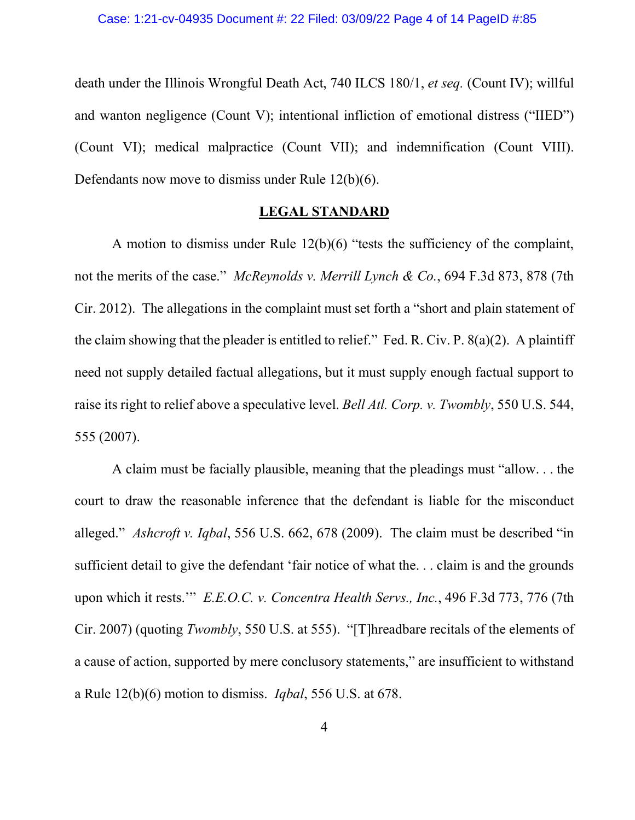death under the Illinois Wrongful Death Act, 740 ILCS 180/1, *et seq.* (Count IV); willful and wanton negligence (Count V); intentional infliction of emotional distress ("IIED") (Count VI); medical malpractice (Count VII); and indemnification (Count VIII). Defendants now move to dismiss under Rule 12(b)(6).

### **LEGAL STANDARD**

A motion to dismiss under Rule 12(b)(6) "tests the sufficiency of the complaint, not the merits of the case." *McReynolds v. Merrill Lynch & Co.*, 694 F.3d 873, 878 (7th Cir. 2012). The allegations in the complaint must set forth a "short and plain statement of the claim showing that the pleader is entitled to relief." Fed. R. Civ. P. 8(a)(2). A plaintiff need not supply detailed factual allegations, but it must supply enough factual support to raise its right to relief above a speculative level. *Bell Atl. Corp. v. Twombly*, 550 U.S. 544, 555 (2007).

A claim must be facially plausible, meaning that the pleadings must "allow. . . the court to draw the reasonable inference that the defendant is liable for the misconduct alleged." *Ashcroft v. Iqbal*, 556 U.S. 662, 678 (2009). The claim must be described "in sufficient detail to give the defendant 'fair notice of what the. . . claim is and the grounds upon which it rests.'" *E.E.O.C. v. Concentra Health Servs., Inc.*, 496 F.3d 773, 776 (7th Cir. 2007) (quoting *Twombly*, 550 U.S. at 555). "[T]hreadbare recitals of the elements of a cause of action, supported by mere conclusory statements," are insufficient to withstand a Rule 12(b)(6) motion to dismiss. *Iqbal*, 556 U.S. at 678.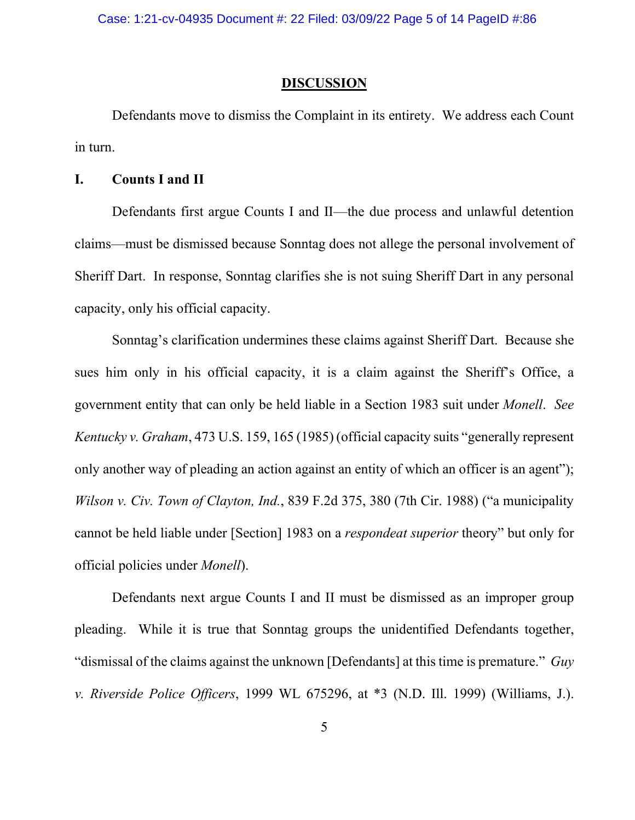Case: 1:21-cv-04935 Document #: 22 Filed: 03/09/22 Page 5 of 14 PageID #:86

#### **DISCUSSION**

Defendants move to dismiss the Complaint in its entirety. We address each Count in turn.

### **I. Counts I and II**

Defendants first argue Counts I and II—the due process and unlawful detention claims—must be dismissed because Sonntag does not allege the personal involvement of Sheriff Dart. In response, Sonntag clarifies she is not suing Sheriff Dart in any personal capacity, only his official capacity.

Sonntag's clarification undermines these claims against Sheriff Dart. Because she sues him only in his official capacity, it is a claim against the Sheriff's Office, a government entity that can only be held liable in a Section 1983 suit under *Monell*. *See Kentucky v. Graham*, 473 U.S. 159, 165 (1985) (official capacity suits "generally represent only another way of pleading an action against an entity of which an officer is an agent"); *Wilson v. Civ. Town of Clayton, Ind.*, 839 F.2d 375, 380 (7th Cir. 1988) ("a municipality cannot be held liable under [Section] 1983 on a *respondeat superior* theory" but only for official policies under *Monell*).

Defendants next argue Counts I and II must be dismissed as an improper group pleading. While it is true that Sonntag groups the unidentified Defendants together, "dismissal of the claims against the unknown [Defendants] at this time is premature." *Guy v. Riverside Police Officers*, 1999 WL 675296, at \*3 (N.D. Ill. 1999) (Williams, J.).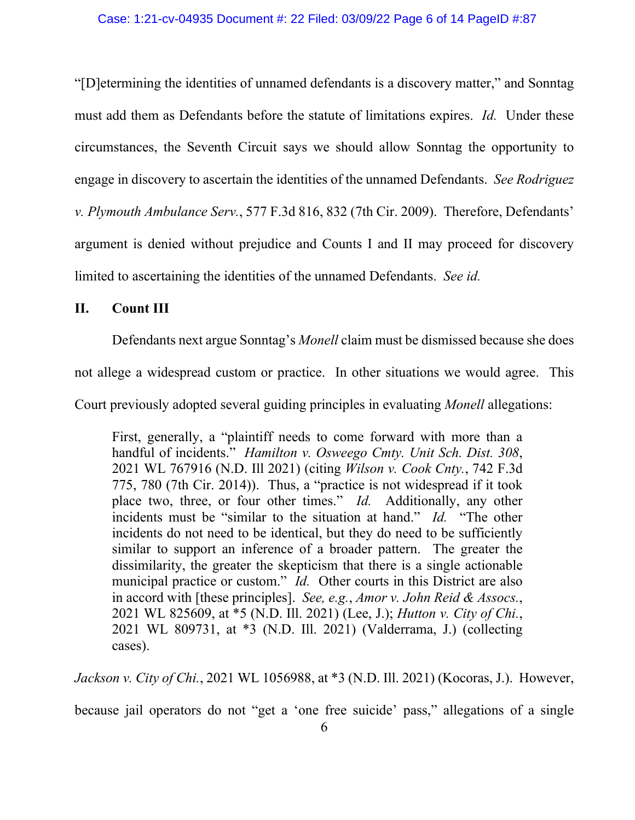"[D]etermining the identities of unnamed defendants is a discovery matter," and Sonntag must add them as Defendants before the statute of limitations expires. *Id.* Under these circumstances, the Seventh Circuit says we should allow Sonntag the opportunity to engage in discovery to ascertain the identities of the unnamed Defendants. *See Rodriguez v. Plymouth Ambulance Serv.*, 577 F.3d 816, 832 (7th Cir. 2009). Therefore, Defendants' argument is denied without prejudice and Counts I and II may proceed for discovery limited to ascertaining the identities of the unnamed Defendants. *See id.*

### **II. Count III**

Defendants next argue Sonntag's *Monell* claim must be dismissed because she does

not allege a widespread custom or practice. In other situations we would agree. This

Court previously adopted several guiding principles in evaluating *Monell* allegations:

First, generally, a "plaintiff needs to come forward with more than a handful of incidents." *Hamilton v. Osweego Cmty. Unit Sch. Dist. 308*, 2021 WL 767916 (N.D. Ill 2021) (citing *Wilson v. Cook Cnty.*, 742 F.3d 775, 780 (7th Cir. 2014)). Thus, a "practice is not widespread if it took place two, three, or four other times." *Id.* Additionally, any other incidents must be "similar to the situation at hand." *Id.* "The other incidents do not need to be identical, but they do need to be sufficiently similar to support an inference of a broader pattern. The greater the dissimilarity, the greater the skepticism that there is a single actionable municipal practice or custom." *Id.* Other courts in this District are also in accord with [these principles]. *See, e.g.*, *Amor v. John Reid & Assocs.*, 2021 WL 825609, at \*5 (N.D. Ill. 2021) (Lee, J.); *Hutton v. City of Chi.*, 2021 WL 809731, at \*3 (N.D. Ill. 2021) (Valderrama, J.) (collecting cases).

*Jackson v. City of Chi.*, 2021 WL 1056988, at \*3 (N.D. Ill. 2021) (Kocoras, J.). However,

because jail operators do not "get a 'one free suicide' pass," allegations of a single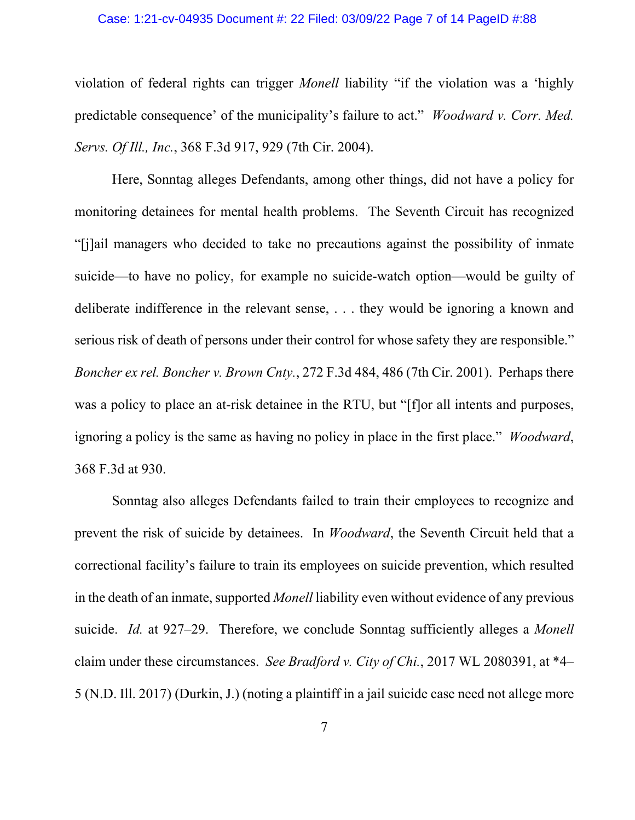#### Case: 1:21-cv-04935 Document #: 22 Filed: 03/09/22 Page 7 of 14 PageID #:88

violation of federal rights can trigger *Monell* liability "if the violation was a 'highly predictable consequence' of the municipality's failure to act." *Woodward v. Corr. Med. Servs. Of Ill., Inc.*, 368 F.3d 917, 929 (7th Cir. 2004).

Here, Sonntag alleges Defendants, among other things, did not have a policy for monitoring detainees for mental health problems. The Seventh Circuit has recognized "[j]ail managers who decided to take no precautions against the possibility of inmate suicide—to have no policy, for example no suicide-watch option—would be guilty of deliberate indifference in the relevant sense, . . . they would be ignoring a known and serious risk of death of persons under their control for whose safety they are responsible." *Boncher ex rel. Boncher v. Brown Cnty.*, 272 F.3d 484, 486 (7th Cir. 2001). Perhaps there was a policy to place an at-risk detainee in the RTU, but "[f]or all intents and purposes, ignoring a policy is the same as having no policy in place in the first place." *Woodward*, 368 F.3d at 930.

Sonntag also alleges Defendants failed to train their employees to recognize and prevent the risk of suicide by detainees. In *Woodward*, the Seventh Circuit held that a correctional facility's failure to train its employees on suicide prevention, which resulted in the death of an inmate, supported *Monell* liability even without evidence of any previous suicide. *Id.* at 927–29. Therefore, we conclude Sonntag sufficiently alleges a *Monell*  claim under these circumstances. *See Bradford v. City of Chi.*, 2017 WL 2080391, at \*4– 5 (N.D. Ill. 2017) (Durkin, J.) (noting a plaintiff in a jail suicide case need not allege more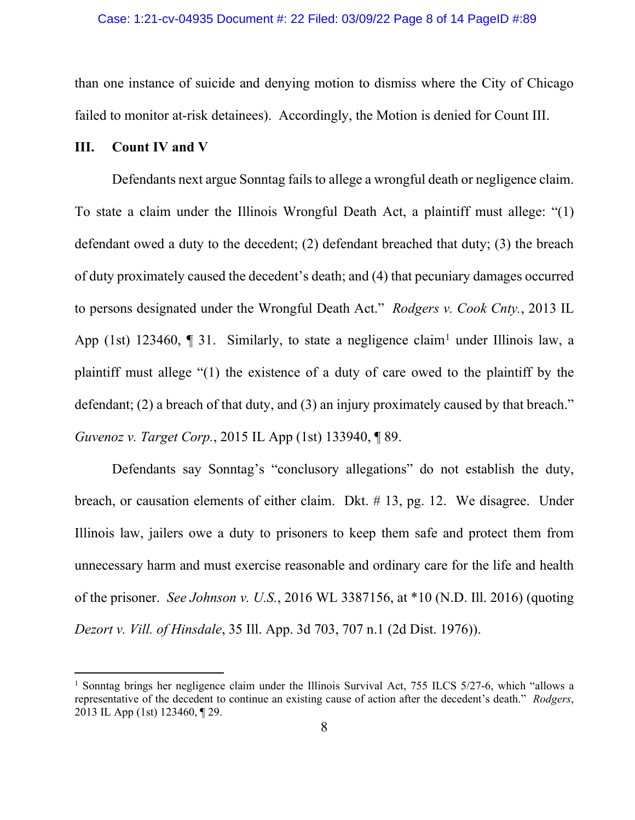than one instance of suicide and denying motion to dismiss where the City of Chicago failed to monitor at-risk detainees). Accordingly, the Motion is denied for Count III.

## **III. Count IV and V**

Defendants next argue Sonntag fails to allege a wrongful death or negligence claim. To state a claim under the Illinois Wrongful Death Act, a plaintiff must allege: "(1) defendant owed a duty to the decedent; (2) defendant breached that duty; (3) the breach of duty proximately caused the decedent's death; and (4) that pecuniary damages occurred to persons designated under the Wrongful Death Act." *Rodgers v. Cook Cnty.*, 2013 IL App ([1](#page-7-0)st) 123460,  $\P$  31. Similarly, to state a negligence claim<sup>1</sup> under Illinois law, a plaintiff must allege "(1) the existence of a duty of care owed to the plaintiff by the defendant; (2) a breach of that duty, and (3) an injury proximately caused by that breach." *Guvenoz v. Target Corp.*, 2015 IL App (1st) 133940, ¶ 89.

Defendants say Sonntag's "conclusory allegations" do not establish the duty, breach, or causation elements of either claim. Dkt. # 13, pg. 12. We disagree. Under Illinois law, jailers owe a duty to prisoners to keep them safe and protect them from unnecessary harm and must exercise reasonable and ordinary care for the life and health of the prisoner. *See Johnson v. U.S.*, 2016 WL 3387156, at \*10 (N.D. Ill. 2016) (quoting *Dezort v. Vill. of Hinsdale*, 35 Ill. App. 3d 703, 707 n.1 (2d Dist. 1976)).

<span id="page-7-0"></span><sup>&</sup>lt;sup>1</sup> Sonntag brings her negligence claim under the Illinois Survival Act, 755 ILCS 5/27-6, which "allows a representative of the decedent to continue an existing cause of action after the decedent's death." *Rodgers*, 2013 IL App (1st) 123460, ¶ 29.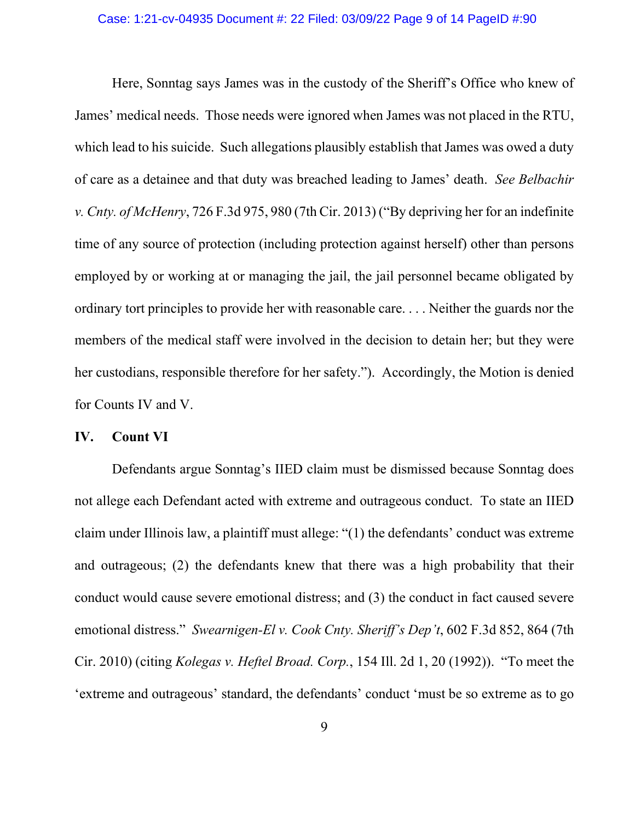Here, Sonntag says James was in the custody of the Sheriff's Office who knew of James' medical needs. Those needs were ignored when James was not placed in the RTU, which lead to his suicide. Such allegations plausibly establish that James was owed a duty of care as a detainee and that duty was breached leading to James' death. *See Belbachir v. Cnty. of McHenry*, 726 F.3d 975, 980 (7th Cir. 2013) ("By depriving her for an indefinite time of any source of protection (including protection against herself) other than persons employed by or working at or managing the jail, the jail personnel became obligated by ordinary tort principles to provide her with reasonable care. . . . Neither the guards nor the members of the medical staff were involved in the decision to detain her; but they were her custodians, responsible therefore for her safety."). Accordingly, the Motion is denied for Counts IV and V.

#### **IV. Count VI**

Defendants argue Sonntag's IIED claim must be dismissed because Sonntag does not allege each Defendant acted with extreme and outrageous conduct. To state an IIED claim under Illinois law, a plaintiff must allege: "(1) the defendants' conduct was extreme and outrageous; (2) the defendants knew that there was a high probability that their conduct would cause severe emotional distress; and (3) the conduct in fact caused severe emotional distress." *Swearnigen-El v. Cook Cnty. Sheriff's Dep't*, 602 F.3d 852, 864 (7th Cir. 2010) (citing *Kolegas v. Heftel Broad. Corp.*, 154 Ill. 2d 1, 20 (1992)). "To meet the 'extreme and outrageous' standard, the defendants' conduct 'must be so extreme as to go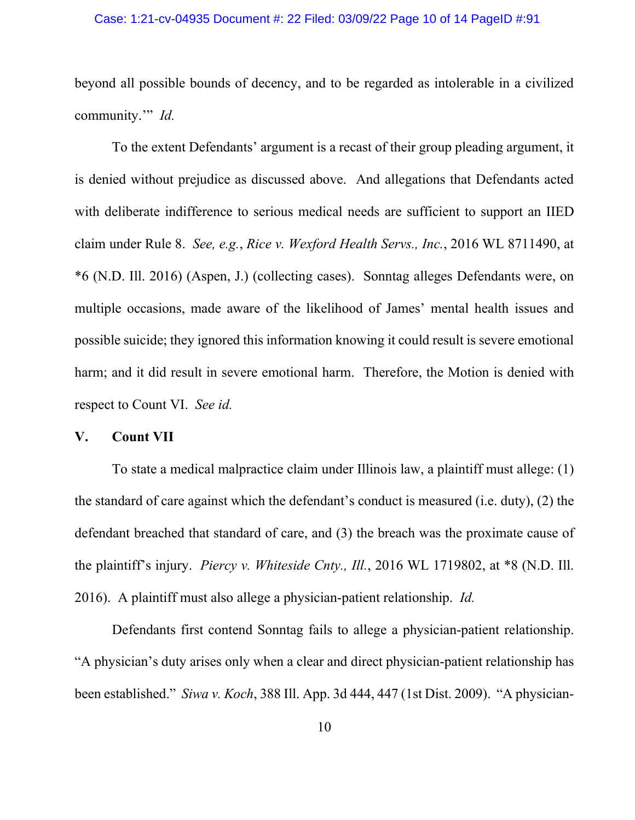### Case: 1:21-cv-04935 Document #: 22 Filed: 03/09/22 Page 10 of 14 PageID #:91

beyond all possible bounds of decency, and to be regarded as intolerable in a civilized community.'" *Id.*

To the extent Defendants' argument is a recast of their group pleading argument, it is denied without prejudice as discussed above. And allegations that Defendants acted with deliberate indifference to serious medical needs are sufficient to support an IIED claim under Rule 8. *See, e.g.*, *Rice v. Wexford Health Servs., Inc.*, 2016 WL 8711490, at \*6 (N.D. Ill. 2016) (Aspen, J.) (collecting cases). Sonntag alleges Defendants were, on multiple occasions, made aware of the likelihood of James' mental health issues and possible suicide; they ignored this information knowing it could result is severe emotional harm; and it did result in severe emotional harm. Therefore, the Motion is denied with respect to Count VI. *See id.*

### **V. Count VII**

To state a medical malpractice claim under Illinois law, a plaintiff must allege: (1) the standard of care against which the defendant's conduct is measured (i.e. duty), (2) the defendant breached that standard of care, and (3) the breach was the proximate cause of the plaintiff's injury. *Piercy v. Whiteside Cnty., Ill.*, 2016 WL 1719802, at \*8 (N.D. Ill. 2016). A plaintiff must also allege a physician-patient relationship. *Id.*

Defendants first contend Sonntag fails to allege a physician-patient relationship. "A physician's duty arises only when a clear and direct physician-patient relationship has been established." *Siwa v. Koch*, 388 Ill. App. 3d 444, 447 (1st Dist. 2009). "A physician-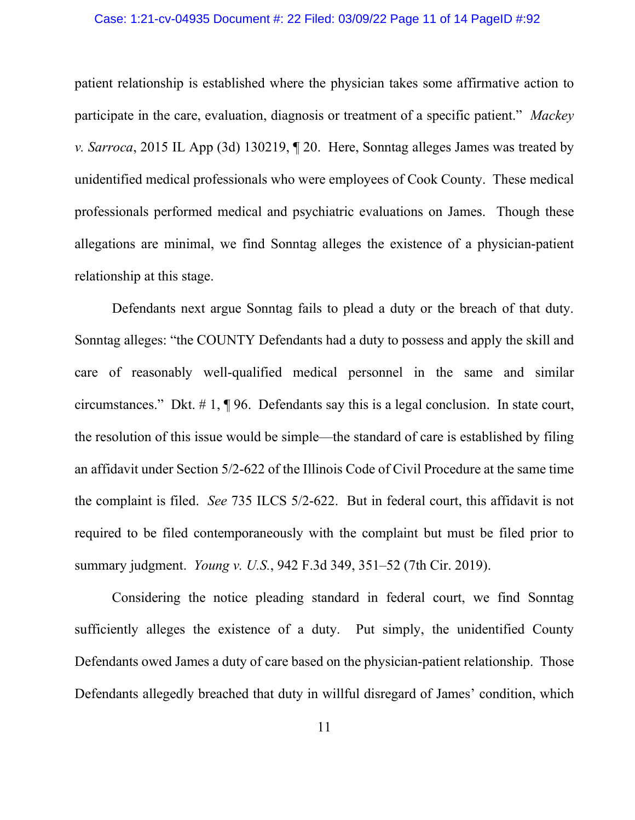#### Case: 1:21-cv-04935 Document #: 22 Filed: 03/09/22 Page 11 of 14 PageID #:92

patient relationship is established where the physician takes some affirmative action to participate in the care, evaluation, diagnosis or treatment of a specific patient." *Mackey v. Sarroca*, 2015 IL App (3d) 130219, ¶ 20. Here, Sonntag alleges James was treated by unidentified medical professionals who were employees of Cook County. These medical professionals performed medical and psychiatric evaluations on James. Though these allegations are minimal, we find Sonntag alleges the existence of a physician-patient relationship at this stage.

Defendants next argue Sonntag fails to plead a duty or the breach of that duty. Sonntag alleges: "the COUNTY Defendants had a duty to possess and apply the skill and care of reasonably well-qualified medical personnel in the same and similar circumstances." Dkt. # 1, ¶ 96. Defendants say this is a legal conclusion. In state court, the resolution of this issue would be simple—the standard of care is established by filing an affidavit under Section 5/2-622 of the Illinois Code of Civil Procedure at the same time the complaint is filed. *See* 735 ILCS 5/2-622. But in federal court, this affidavit is not required to be filed contemporaneously with the complaint but must be filed prior to summary judgment. *Young v. U.S.*, 942 F.3d 349, 351–52 (7th Cir. 2019).

Considering the notice pleading standard in federal court, we find Sonntag sufficiently alleges the existence of a duty. Put simply, the unidentified County Defendants owed James a duty of care based on the physician-patient relationship. Those Defendants allegedly breached that duty in willful disregard of James' condition, which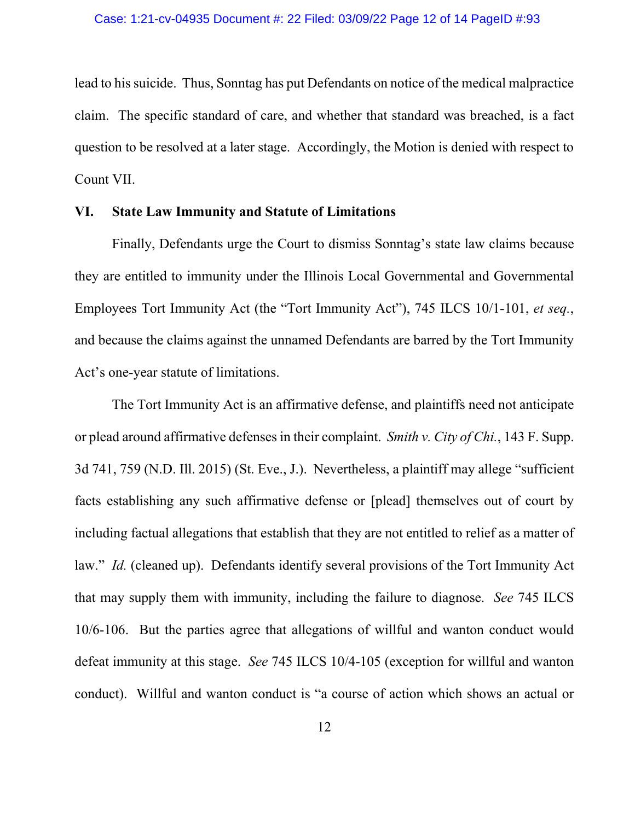lead to his suicide. Thus, Sonntag has put Defendants on notice of the medical malpractice claim. The specific standard of care, and whether that standard was breached, is a fact question to be resolved at a later stage. Accordingly, the Motion is denied with respect to Count VII.

### **VI. State Law Immunity and Statute of Limitations**

Finally, Defendants urge the Court to dismiss Sonntag's state law claims because they are entitled to immunity under the Illinois Local Governmental and Governmental Employees Tort Immunity Act (the "Tort Immunity Act"), 745 ILCS 10/1-101, *et seq.*, and because the claims against the unnamed Defendants are barred by the Tort Immunity Act's one-year statute of limitations.

The Tort Immunity Act is an affirmative defense, and plaintiffs need not anticipate or plead around affirmative defenses in their complaint. *Smith v. City of Chi.*, 143 F. Supp. 3d 741, 759 (N.D. Ill. 2015) (St. Eve., J.). Nevertheless, a plaintiff may allege "sufficient facts establishing any such affirmative defense or [plead] themselves out of court by including factual allegations that establish that they are not entitled to relief as a matter of law." *Id.* (cleaned up). Defendants identify several provisions of the Tort Immunity Act that may supply them with immunity, including the failure to diagnose. *See* 745 ILCS 10/6-106. But the parties agree that allegations of willful and wanton conduct would defeat immunity at this stage. *See* 745 ILCS 10/4-105 (exception for willful and wanton conduct). Willful and wanton conduct is "a course of action which shows an actual or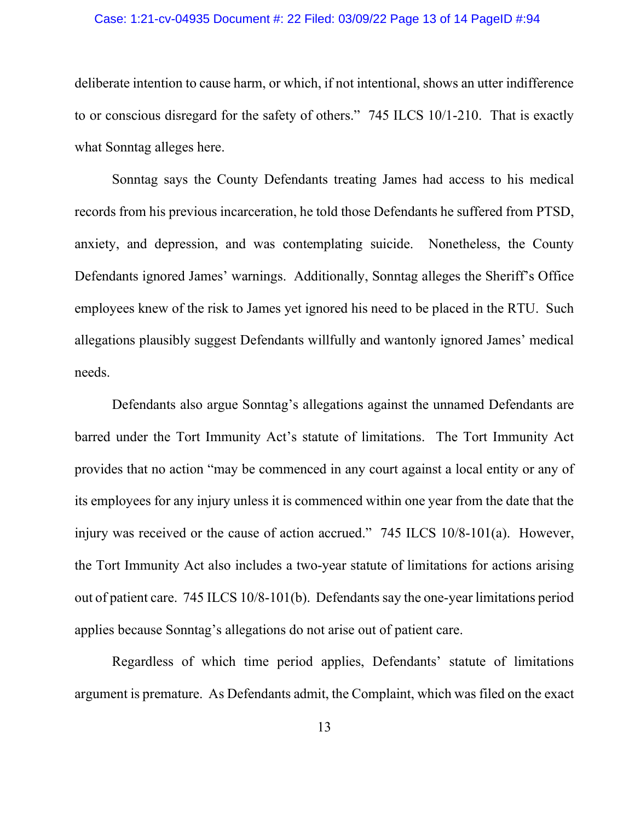### Case: 1:21-cv-04935 Document #: 22 Filed: 03/09/22 Page 13 of 14 PageID #:94

deliberate intention to cause harm, or which, if not intentional, shows an utter indifference to or conscious disregard for the safety of others." 745 ILCS 10/1-210. That is exactly what Sonntag alleges here.

Sonntag says the County Defendants treating James had access to his medical records from his previous incarceration, he told those Defendants he suffered from PTSD, anxiety, and depression, and was contemplating suicide. Nonetheless, the County Defendants ignored James' warnings. Additionally, Sonntag alleges the Sheriff's Office employees knew of the risk to James yet ignored his need to be placed in the RTU. Such allegations plausibly suggest Defendants willfully and wantonly ignored James' medical needs.

Defendants also argue Sonntag's allegations against the unnamed Defendants are barred under the Tort Immunity Act's statute of limitations. The Tort Immunity Act provides that no action "may be commenced in any court against a local entity or any of its employees for any injury unless it is commenced within one year from the date that the injury was received or the cause of action accrued." 745 ILCS 10/8-101(a). However, the Tort Immunity Act also includes a two-year statute of limitations for actions arising out of patient care. 745 ILCS 10/8-101(b). Defendants say the one-year limitations period applies because Sonntag's allegations do not arise out of patient care.

Regardless of which time period applies, Defendants' statute of limitations argument is premature. As Defendants admit, the Complaint, which was filed on the exact